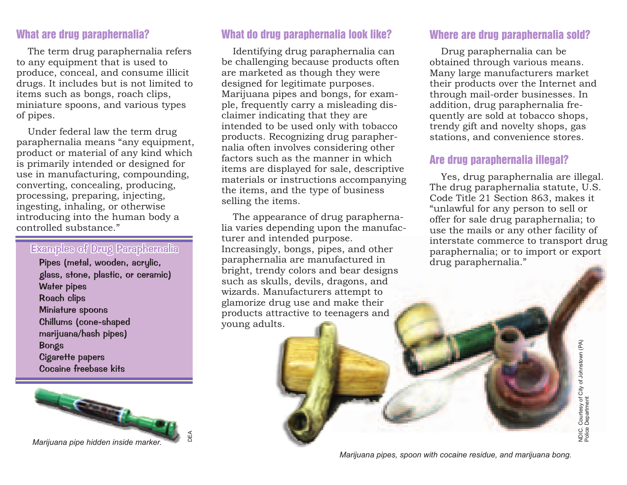The term drug paraphernalia refers to any equipment that is used to produce, conceal, and consume illicit drugs. It includes but is not limited to items such as bongs, roach clips, miniature spoons, and various types of pipes.

Under federal law the term drug paraphernalia means "any equipment, product or material of any kind which is primarily intended or designed for use in manufacturing, compounding, converting, concealing, producing, processing, preparing, injecting, ingesting, inhaling, or otherwise introducing into the human body <sup>a</sup> controlled substance."

#### Examples of Drug Paraphernalia

Pipes (metal, wooden, acrylic, glass, stone, plastic, or ceramic) Water pipes Roach clips Miniature spoons Chillums (cone-shaped marijuana/hash pipes) Bongs Cigarette papers Cocaine freebase kits



What are drug paraphernalia? What do drug paraphernalia look like? Where are drug paraphernalia sold?

Identifying drug paraphernalia can be challenging because products often are marketed as though they were designed for legitimate purposes. Marijuana pipes and bongs, for example, frequently carry <sup>a</sup> misleading disclaimer indicating that they are intended to be used only with tobacco products. Recognizing drug paraphernalia often involves considering other factors such as the manner in whichitems are displayed for sale, descriptive materials or instructions accompanying the items, and the type of business selling the items.

The appearance of drug paraphernalia varies depending upon the manufacturer and intended purpose. Increasingly, bongs, pipes, and other paraphernalia are manufactured in bright, trendy colors and bear designs such as skulls, devils, dragons, and wizards. Manufacturers attempt to glamorize drug use and make their products attractive to teenagers and young adults.

#### Where are drug paraphernalia sold?

Drug paraphernalia can be obtained through various means. Many large manufacturers market their products over the Internet and through mail-order businesses. In addition, drug paraphernalia frequently are sold at tobacco shops, trendy gift and novelty shops, gas stations, and convenience stores.

#### Are drug paraphernalia illegal?

Yes, drug paraphernalia are illegal. The drug paraphernalia statute, U.S. Code Title 21 Section 863, makes it "unlawful for any person to sell or offer for sale drug paraphernalia; to use the mails or any other facility of interstate commerce to transport drug paraphernalia; or to import or export drug paraphernalia."

*Marijuana pipes, spoon with cocaine residue, and marijuana bong.*